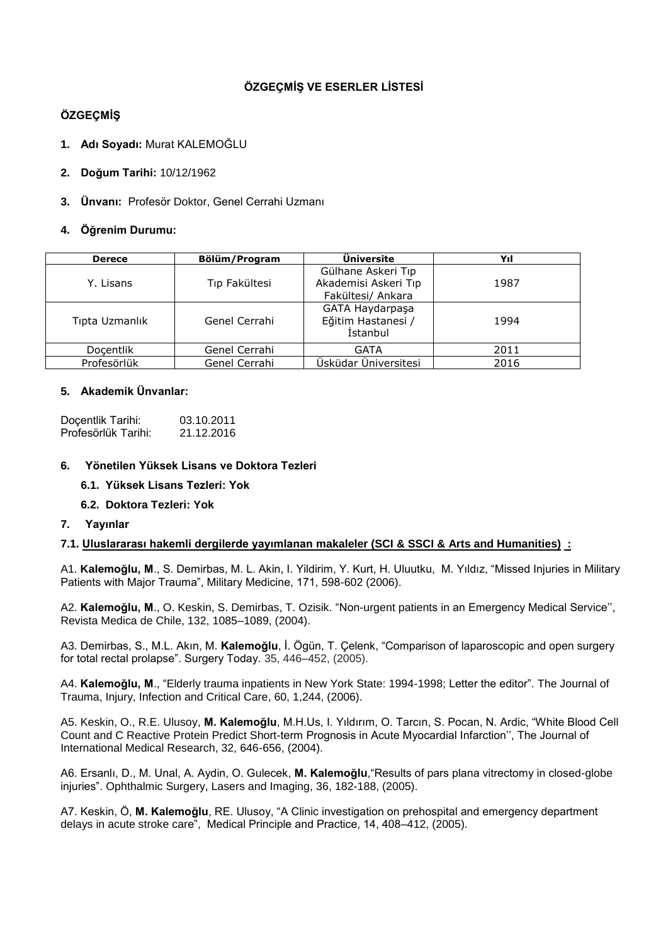# **ÖZGEÇMİŞ VE ESERLER LİSTESİ**

# **ÖZGEÇMİŞ**

- **1. Adı Soyadı:** Murat KALEMOĞLU
- **2. Doğum Tarihi:** 10/12/1962
- **3. Ünvanı:** Profesör Doktor, Genel Cerrahi Uzmanı

# **4. Öğrenim Durumu:**

| <b>Derece</b>  | Bölüm/Program | Üniversite                                                      | Yıl  |
|----------------|---------------|-----------------------------------------------------------------|------|
| Y. Lisans      | Tip Fakültesi | Gülhane Askeri Tıp<br>Akademisi Askeri Tıp<br>Fakültesi/ Ankara | 1987 |
| Tipta Uzmanlık | Genel Cerrahi | GATA Haydarpaşa<br>Eğitim Hastanesi /<br>İstanbul               | 1994 |
| Docentlik      | Genel Cerrahi | GATA                                                            | 2011 |
| Profesörlük    | Genel Cerrahi | Üsküdar Üniversitesi                                            | 2016 |

# **5. Akademik Ünvanlar:**

| Doçentlik Tarihi:   | 03.10.2011 |
|---------------------|------------|
| Profesörlük Tarihi: | 21.12.2016 |

### **6. Yönetilen Yüksek Lisans ve Doktora Tezleri**

# **6.1. Yüksek Lisans Tezleri: Yok**

- **6.2. Doktora Tezleri: Yok**
- **7. Yayınlar**

### **7.1. Uluslararası hakemli dergilerde yayımlanan makaleler (SCI & SSCI & Arts and Humanities) :**

A1. **Kalemoğlu, M**., S. Demirbas, M. L. Akin, I. Yildirim, Y. Kurt, H. Uluutku, M. Yıldız, "Missed Injuries in Military Patients with Major Trauma", Military Medicine, 171, 598-602 (2006).

A2. **Kalemoğlu, M**., O. Keskin, S. Demirbas, T. Ozisik. "Non-urgent patients in an Emergency Medical Service'', Revista Medica de Chile, 132, 1085–1089, (2004).

A3. Demirbas, S., M.L. Akın, M. **Kalemoğlu**, İ. Ögün, T. Çelenk, "Comparison of laparoscopic and open surgery for total rectal prolapse". Surgery Today. 35, 446–452, (2005).

A4. **Kalemoğlu, M**., "Elderly trauma inpatients in New York State: 1994-1998; Letter the editor". The Journal of Trauma, Injury, Infection and Critical Care, 60, 1,244, (2006).

A5. Keskin, O., R.E. Ulusoy, **M. Kalemoğlu**, M.H.Us, I. Yıldırım, O. Tarcın, S. Pocan, N. Ardic, "White Blood Cell Count and C Reactive Protein Predict Short-term Prognosis in Acute Myocardial Infarction'', The Journal of International Medical Research, 32, 646-656, (2004).

A6. Ersanlı, D., M. Unal, A. Aydin, O. Gulecek, **M. Kalemoğlu**,"Results of pars plana vitrectomy in closed-globe injuries". Ophthalmic Surgery, Lasers and Imaging, 36, 182-188, (2005).

A7. Keskin, Ö, **M. Kalemoğlu**, RE. Ulusoy, "A Clinic investigation on prehospital and emergency department delays in acute stroke care", Medical Principle and Practice, 14, 408–412, (2005).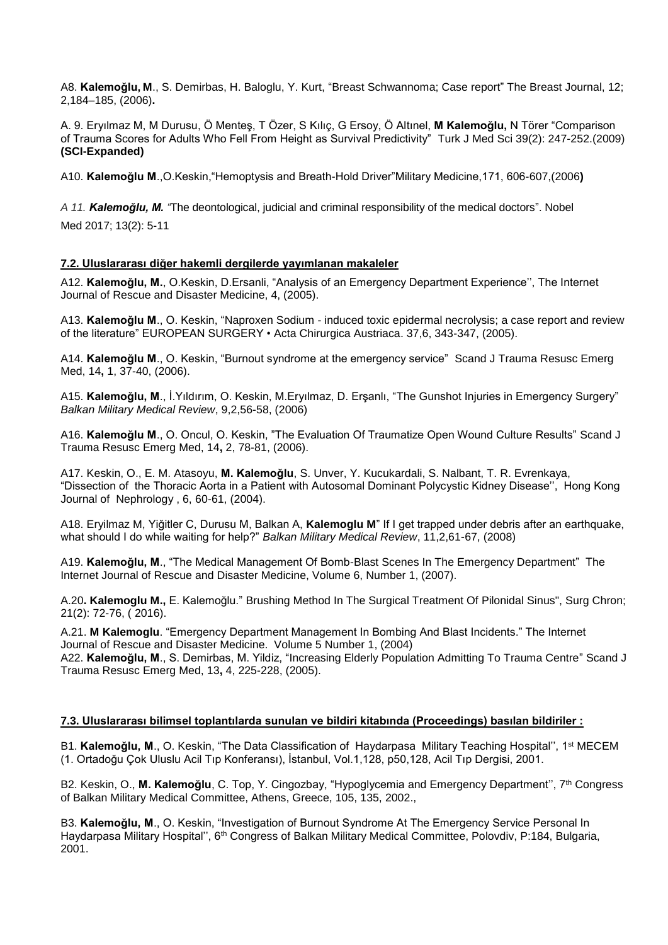A8. **Kalemoğlu, M**., S. Demirbas, H. Baloglu, Y. Kurt, "Breast Schwannoma; Case report" The Breast Journal, 12; 2,184–185, (2006)**.**

A. 9. Eryılmaz M, M Durusu, Ö Menteş, T Özer, S Kılıç, G Ersoy, Ö Altınel, **M Kalemoğlu,** N Törer "Comparison of Trauma Scores for Adults Who Fell From Height as Survival Predictivity" Turk J Med Sci 39(2): 247-252.(2009) **(SCI-Expanded)**

A10. **Kalemoğlu M**.,O.Keskin,"Hemoptysis and Breath-Hold Driver"Military Medicine,171, 606-607,(2006**)**

*A 11. Kalemoğlu, M. "*The deontological, judicial and criminal responsibility of the medical doctors". Nobel Med 2017; 13(2): 5-11

#### **7.2. Uluslararası diğer hakemli dergilerde yayımlanan makaleler**

A12. **Kalemoğlu, M.**, O.Keskin, D.Ersanli, "Analysis of an Emergency Department Experience'', The Internet Journal of Rescue and Disaster Medicine, 4, (2005).

A13. **Kalemoğlu M**., O. Keskin, "Naproxen Sodium - induced toxic epidermal necrolysis; a case report and review of the literature" EUROPEAN SURGERY • Acta Chirurgica Austriaca. 37,6, 343-347, (2005).

A14. **Kalemoğlu M**., O. Keskin, "Burnout syndrome at the emergency service" Scand J Trauma Resusc Emerg Med, 14**,** 1, 37-40, (2006).

A15. **Kalemoğlu, M**., İ.Yıldırım, O. Keskin, M.Eryılmaz, D. Erşanlı, "The Gunshot Injuries in Emergency Surgery" *Balkan Military Medical Review*, 9,2,56-58, (2006)

A16. **Kalemoğlu M**., O. Oncul, O. Keskin, "The Evaluation Of Traumatize Open Wound Culture Results" Scand J Trauma Resusc Emerg Med, 14**,** 2, 78-81, (2006).

A17. Keskin, O., E. M. Atasoyu, **M. Kalemoğlu**, S. Unver, Y. Kucukardali, S. Nalbant, T. R. Evrenkaya, "Dissection of the Thoracic Aorta in a Patient with Autosomal Dominant Polycystic Kidney Disease'', Hong Kong Journal of Nephrology , 6, 60-61, (2004).

A18. Eryilmaz M, Yiğitler C, Durusu M, Balkan A, **Kalemoglu M**" If I get trapped under debris after an earthquake, what should I do while waiting for help?" *Balkan Military Medical Review*, 11,2,61-67, (2008)

A19. **Kalemoğlu, M**., "The Medical Management Of Bomb-Blast Scenes In The Emergency Department" The Internet Journal of Rescue and Disaster Medicine, Volume 6, Number 1, (2007).

A.20**. Kalemoglu M.,** E. Kalemoğlu." Brushing Method In The Surgical Treatment Of Pilonidal Sinus", Surg Chron; 21(2): 72-76, ( 2016).

A.21. **M Kalemoglu**. "Emergency Department Management In Bombing And Blast Incidents." The Internet Journal of Rescue and Disaster Medicine. Volume 5 Number 1, (2004)

A22. **Kalemoğlu, M**., S. Demirbas, M. Yildiz, "Increasing Elderly Population Admitting To Trauma Centre" Scand J Trauma Resusc Emerg Med, 13**,** 4, 225-228, (2005).

#### **7.3. Uluslararası bilimsel toplantılarda sunulan ve bildiri kitabında (Proceedings) basılan bildiriler :**

B1. **Kalemoğlu, M**., O. Keskin, "The Data Classification of Haydarpasa Military Teaching Hospital'', 1st MECEM (1. Ortadoğu Çok Uluslu Acil Tıp Konferansı), İstanbul, Vol.1,128, p50,128, Acil Tıp Dergisi, 2001.

B2. Keskin, O., **M. Kalemoğlu**, C. Top, Y. Cingozbay, "Hypoglycemia and Emergency Department'', 7th Congress of Balkan Military Medical Committee, Athens, Greece, 105, 135, 2002.,

B3. **Kalemoğlu, M**., O. Keskin, "Investigation of Burnout Syndrome At The Emergency Service Personal In Haydarpasa Military Hospital'', 6th Congress of Balkan Military Medical Committee, Polovdiv, P:184, Bulgaria, 2001.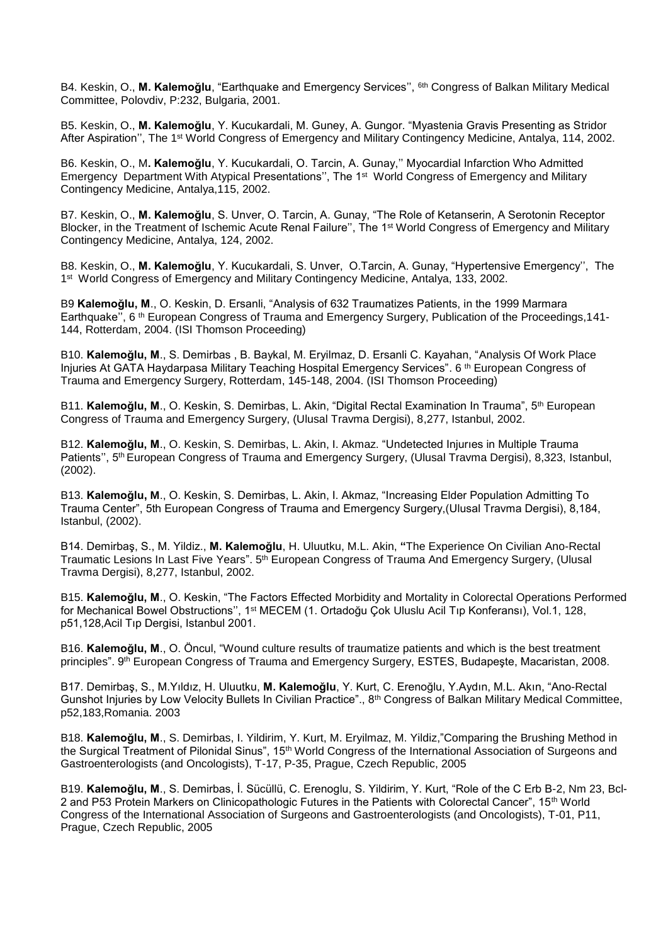B4. Keskin, O., **M. Kalemoğlu**, "Earthquake and Emergency Services'', 6th Congress of Balkan Military Medical Committee, Polovdiv, P:232, Bulgaria, 2001.

B5. Keskin, O., **M. Kalemoğlu**, Y. Kucukardali, M. Guney, A. Gungor. "Myastenia Gravis Presenting as Stridor After Aspiration'', The 1st World Congress of Emergency and Military Contingency Medicine, Antalya, 114, 2002.

B6. Keskin, O., M**. Kalemoğlu**, Y. Kucukardali, O. Tarcin, A. Gunay,'' Myocardial Infarction Who Admitted Emergency Department With Atypical Presentations", The 1<sup>st</sup> World Congress of Emergency and Military Contingency Medicine, Antalya,115, 2002.

B7. Keskin, O., **M. Kalemoğlu**, S. Unver, O. Tarcin, A. Gunay, "The Role of Ketanserin, A Serotonin Receptor Blocker, in the Treatment of Ischemic Acute Renal Failure'', The 1st World Congress of Emergency and Military Contingency Medicine, Antalya, 124, 2002.

B8. Keskin, O., **M. Kalemoğlu**, Y. Kucukardali, S. Unver, O.Tarcin, A. Gunay, "Hypertensive Emergency'', The 1<sup>st</sup> World Congress of Emergency and Military Contingency Medicine, Antalya, 133, 2002.

B9 **Kalemoğlu, M**., O. Keskin, D. Ersanli, "Analysis of 632 Traumatizes Patients, in the 1999 Marmara Earthquake'', 6 th European Congress of Trauma and Emergency Surgery, Publication of the Proceedings,141- 144, Rotterdam, 2004. (ISI Thomson Proceeding)

B10. **Kalemoğlu, M**., S. Demirbas , B. Baykal, M. Eryilmaz, D. Ersanli C. Kayahan, "Analysis Of Work Place Injuries At GATA Haydarpasa Military Teaching Hospital Emergency Services". 6<sup>th</sup> European Congress of Trauma and Emergency Surgery, Rotterdam, 145-148, 2004. (ISI Thomson Proceeding)

B11. Kalemoğlu, M., O. Keskin, S. Demirbas, L. Akin, "Digital Rectal Examination In Trauma", 5<sup>th</sup> European Congress of Trauma and Emergency Surgery, (Ulusal Travma Dergisi), 8,277, Istanbul, 2002.

B12. **Kalemoğlu, M**., O. Keskin, S. Demirbas, L. Akin, I. Akmaz. "Undetected Injurıes in Multiple Trauma Patients", 5<sup>th</sup> European Congress of Trauma and Emergency Surgery, (Ulusal Trayma Dergisi), 8,323, Istanbul, (2002).

B13. **Kalemoğlu, M**., O. Keskin, S. Demirbas, L. Akin, I. Akmaz, "Increasing Elder Population Admitting To Trauma Center", 5th European Congress of Trauma and Emergency Surgery,(Ulusal Travma Dergisi), 8,184, Istanbul, (2002).

B14. Demirbaş, S., M. Yildiz., **M. Kalemoğlu**, H. Uluutku, M.L. Akin, **"**The Experience On Civilian Ano-Rectal Traumatic Lesions In Last Five Years". 5<sup>th</sup> European Congress of Trauma And Emergency Surgery, (Ulusal Travma Dergisi), 8,277, Istanbul, 2002.

B15. **Kalemoğlu, M**., O. Keskin, "The Factors Effected Morbidity and Mortality in Colorectal Operations Performed for Mechanical Bowel Obstructions'', 1st MECEM (1. Ortadoğu Çok Uluslu Acil Tıp Konferansı), Vol.1, 128, p51,128,Acil Tıp Dergisi, Istanbul 2001.

B16. **Kalemoğlu, M**., O. Öncul, "Wound culture results of traumatize patients and which is the best treatment principles". 9th European Congress of Trauma and Emergency Surgery, ESTES, Budapeşte, Macaristan, 2008.

B17. Demirbaş, S., M.Yıldız, H. Uluutku, **M. Kalemoğlu**, Y. Kurt, C. Erenoğlu, Y.Aydın, M.L. Akın, "Ano-Rectal Gunshot Injuries by Low Velocity Bullets In Civilian Practice"., 8<sup>th</sup> Congress of Balkan Military Medical Committee, p52,183,Romania. 2003

B18. **Kalemoğlu, M**., S. Demirbas, I. Yildirim, Y. Kurt, M. Eryilmaz, M. Yildiz,"Comparing the Brushing Method in the Surgical Treatment of Pilonidal Sinus", 15<sup>th</sup> World Congress of the International Association of Surgeons and Gastroenterologists (and Oncologists), T-17, P-35, Prague, Czech Republic, 2005

B19. **Kalemoğlu, M**., S. Demirbas, İ. Sücüllü, C. Erenoglu, S. Yildirim, Y. Kurt, "Role of the C Erb B-2, Nm 23, Bcl-2 and P53 Protein Markers on Clinicopathologic Futures in the Patients with Colorectal Cancer", 15th World Congress of the International Association of Surgeons and Gastroenterologists (and Oncologists), T-01, P11, Prague, Czech Republic, 2005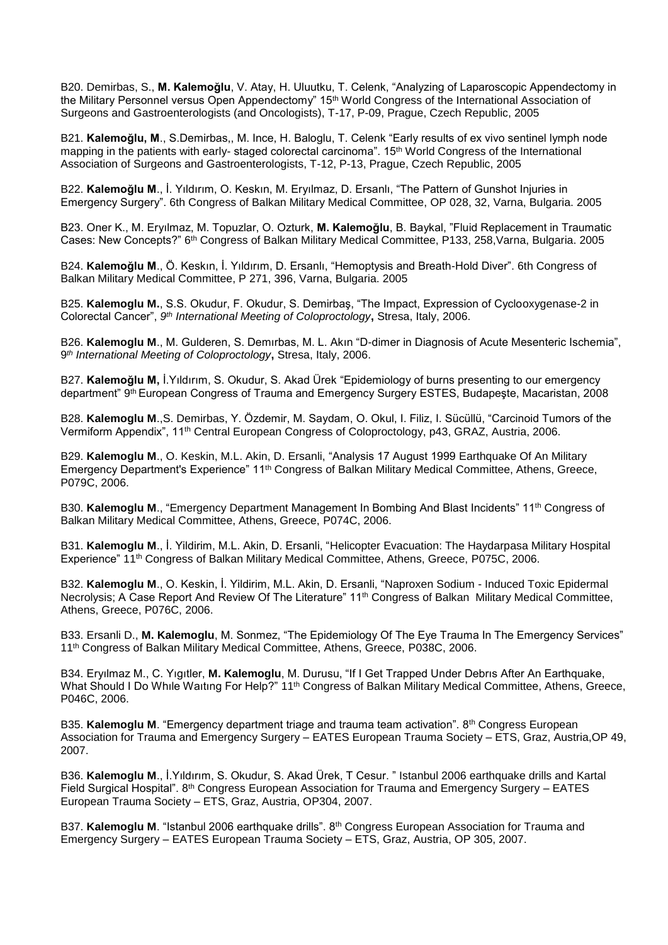B20. Demirbas, S., **M. Kalemoğlu**, V. Atay, H. Uluutku, T. Celenk, "Analyzing of Laparoscopic Appendectomy in the Military Personnel versus Open Appendectomy" 15th World Congress of the International Association of Surgeons and Gastroenterologists (and Oncologists), T-17, P-09, Prague, Czech Republic, 2005

B21. **Kalemoğlu, M**., S.Demirbas,, M. Ince, H. Baloglu, T. Celenk "Early results of ex vivo sentinel lymph node mapping in the patients with early- staged colorectal carcinoma". 15<sup>th</sup> World Congress of the International Association of Surgeons and Gastroenterologists, T-12, P-13, Prague, Czech Republic, 2005

B22. **Kalemoğlu M**., İ. Yıldırım, O. Keskın, M. Eryılmaz, D. Ersanlı, "The Pattern of Gunshot Injuries in Emergency Surgery". 6th Congress of Balkan Military Medical Committee, OP 028, 32, Varna, Bulgaria. 2005

B23. Oner K., M. Eryılmaz, M. Topuzlar, O. Ozturk, **M. Kalemoğlu**, B. Baykal, "Fluid Replacement in Traumatic Cases: New Concepts?" 6<sup>th</sup> Congress of Balkan Military Medical Committee, P133, 258, Varna, Bulgaria. 2005

B24. **Kalemoğlu M**., Ö. Keskın, İ. Yıldırım, D. Ersanlı, "Hemoptysis and Breath-Hold Diver". 6th Congress of Balkan Military Medical Committee, P 271, 396, Varna, Bulgaria. 2005

B25. **Kalemoglu M.**, S.S. Okudur, F. Okudur, S. Demirbaş, "The Impact, Expression of Cyclooxygenase-2 in Colorectal Cancer", *9 th International Meeting of Coloproctology***,** Stresa, Italy, 2006.

B26. **Kalemoglu M**., M. Gulderen, S. Demırbas, M. L. Akın "D-dimer in Diagnosis of Acute Mesenteric Ischemia", 9 *th International Meeting of Coloproctology***,** Stresa, Italy, 2006.

B27. **Kalemoğlu M,** İ.Yıldırım, S. Okudur, S. Akad Ürek "Epidemiology of burns presenting to our emergency department" 9<sup>th</sup> European Congress of Trauma and Emergency Surgery ESTES, Budapeşte, Macaristan, 2008

B28. **Kalemoglu M**.,S. Demirbas, Y. Özdemir, M. Saydam, O. Okul, I. Filiz, I. Sücüllü, "Carcinoid Tumors of the Vermiform Appendix", 11th Central European Congress of Coloproctology, p43, GRAZ, Austria, 2006.

B29. **Kalemoglu M**., O. Keskin, M.L. Akin, D. Ersanli, "Analysis 17 August 1999 Earthquake Of An Military Emergency Department's Experience" 11<sup>th</sup> Congress of Balkan Military Medical Committee, Athens, Greece, P079C, 2006.

B30. **Kalemoglu M**., "Emergency Department Management In Bombing And Blast Incidents" 11th Congress of Balkan Military Medical Committee, Athens, Greece, P074C, 2006.

B31. **Kalemoglu M**., İ. Yildirim, M.L. Akin, D. Ersanli, "Helicopter Evacuation: The Haydarpasa Military Hospital Experience" 11th Congress of Balkan Military Medical Committee, Athens, Greece, P075C, 2006.

B32. **Kalemoglu M**., O. Keskin, İ. Yildirim, M.L. Akin, D. Ersanli, "Naproxen Sodium - Induced Toxic Epidermal Necrolysis; A Case Report And Review Of The Literature" 11<sup>th</sup> Congress of Balkan Military Medical Committee, Athens, Greece, P076C, 2006.

B33. Ersanli D., **M. Kalemoglu**, M. Sonmez, "The Epidemiology Of The Eye Trauma In The Emergency Services" 11<sup>th</sup> Congress of Balkan Military Medical Committee, Athens, Greece, P038C, 2006.

B34. Eryılmaz M., C. Yıgıtler, **M. Kalemoglu**, M. Durusu, "If I Get Trapped Under Debrıs After An Earthquake, What Should I Do While Waiting For Help?" 11<sup>th</sup> Congress of Balkan Military Medical Committee, Athens, Greece, P046C, 2006.

B35. Kalemoglu M. "Emergency department triage and trauma team activation". 8<sup>th</sup> Congress European Association for Trauma and Emergency Surgery – EATES European Trauma Society – ETS, Graz, Austria,OP 49, 2007.

B36. **Kalemoglu M**., İ.Yıldırım, S. Okudur, S. Akad Ürek, T Cesur. " Istanbul 2006 earthquake drills and Kartal Field Surgical Hospital". 8th Congress European Association for Trauma and Emergency Surgery – EATES European Trauma Society – ETS, Graz, Austria, OP304, 2007.

B37. Kalemoglu M. "Istanbul 2006 earthquake drills". 8<sup>th</sup> Congress European Association for Trauma and Emergency Surgery – EATES European Trauma Society – ETS, Graz, Austria, OP 305, 2007.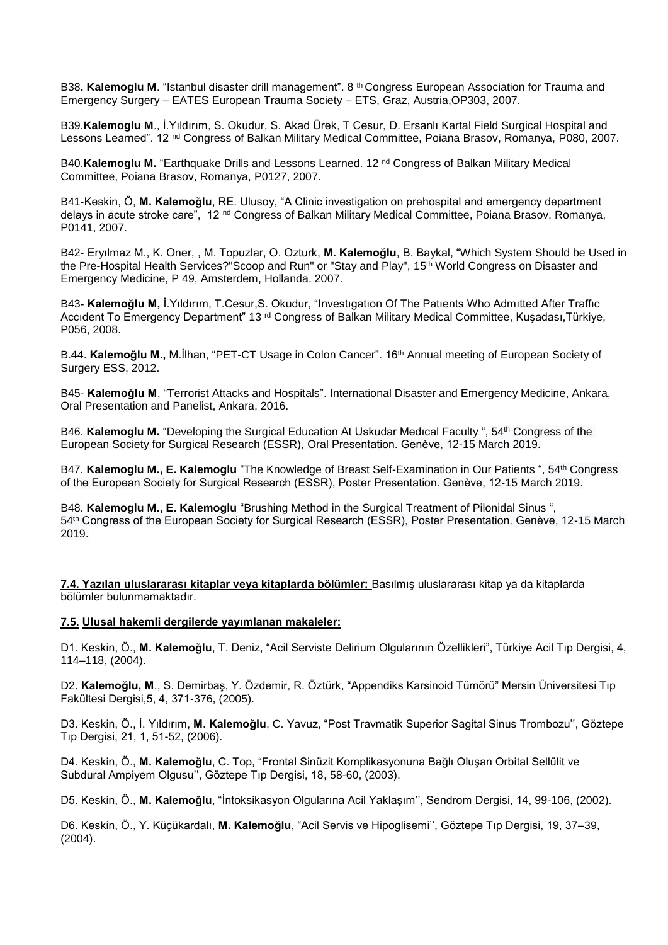B38**. Kalemoglu M**. "Istanbul disaster drill management". 8 th Congress European Association for Trauma and Emergency Surgery – EATES European Trauma Society – ETS, Graz, Austria,OP303, 2007.

B39.**Kalemoglu M**., İ.Yıldırım, S. Okudur, S. Akad Ürek, T Cesur, D. Ersanlı Kartal Field Surgical Hospital and Lessons Learned". 12 <sup>nd</sup> Congress of Balkan Military Medical Committee, Poiana Brasov, Romanya, P080, 2007.

B40.**Kalemoglu M.** "Earthquake Drills and Lessons Learned. 12<sup>nd</sup> Congress of Balkan Military Medical Committee, Poiana Brasov, Romanya, P0127, 2007.

B41-Keskin, Ö, **M. Kalemoğlu**, RE. Ulusoy, "A Clinic investigation on prehospital and emergency department delays in acute stroke care", 12 nd Congress of Balkan Military Medical Committee, Poiana Brasov, Romanya, P0141, 2007.

B42- Eryılmaz M., K. Oner, , M. Topuzlar, O. Ozturk, **M. Kalemoğlu**, B. Baykal, "Which System Should be Used in the Pre-Hospital Health Services?"Scoop and Run" or "Stay and Play", 15th World Congress on Disaster and Emergency Medicine, P 49, Amsterdem, Hollanda. 2007.

B43**- Kalemoğlu M,** İ.Yıldırım, T.Cesur,S. Okudur, "Investıgatıon Of The Patıents Who Admıtted After Traffıc Accident To Emergency Department" 13<sup>rd</sup> Congress of Balkan Military Medical Committee, Kusadası,Türkiye, P056, 2008.

B.44. **Kalemoğlu M.,** M.İlhan, "PET-CT Usage in Colon Cancer". 16th Annual meeting of European Society of Surgery ESS, 2012.

B45- **Kalemoğlu M**, "Terrorist Attacks and Hospitals". International Disaster and Emergency Medicine, Ankara, Oral Presentation and Panelist, Ankara, 2016.

B46. **Kalemoglu M.** "Developing the Surgical Education At Uskudar Medıcal Faculty ", 54th Congress of the European Society for Surgical Research (ESSR), Oral Presentation. Genève, 12-15 March 2019.

B47. **Kalemoglu M., E. Kalemoglu** "The Knowledge of Breast Self-Examination in Our Patients ", 54<sup>th</sup> Congress of the European Society for Surgical Research (ESSR), Poster Presentation. Genève, 12-15 March 2019.

B48. **Kalemoglu M., E. Kalemoglu** "Brushing Method in the Surgical Treatment of Pilonidal Sinus ", 54th Congress of the European Society for Surgical Research (ESSR), Poster Presentation. Genève, 12-15 March 2019.

**7.4. Yazılan uluslararası kitaplar veya kitaplarda bölümler:** Basılmış uluslararası kitap ya da kitaplarda bölümler bulunmamaktadır.

#### **7.5. Ulusal hakemli dergilerde yayımlanan makaleler:**

D1. Keskin, Ö., **M. Kalemoğlu**, T. Deniz, "Acil Serviste Delirium Olgularının Özellikleri", Türkiye Acil Tıp Dergisi, 4, 114–118, (2004).

D2. **Kalemoğlu, M**., S. Demirbaş, Y. Özdemir, R. Öztürk, "Appendiks Karsinoid Tümörü" Mersin Üniversitesi Tıp Fakültesi Dergisi,5, 4, 371-376, (2005).

D3. Keskin, Ö., İ. Yıldırım, **M. Kalemoğlu**, C. Yavuz, "Post Travmatik Superior Sagital Sinus Trombozu'', Göztepe Tıp Dergisi, 21, 1, 51-52, (2006).

D4. Keskin, Ö., **M. Kalemoğlu**, C. Top, "Frontal Sinüzit Komplikasyonuna Bağlı Oluşan Orbital Sellülit ve Subdural Ampiyem Olgusu'', Göztepe Tıp Dergisi, 18, 58-60, (2003).

D5. Keskin, Ö., **M. Kalemoğlu**, "İntoksikasyon Olgularına Acil Yaklaşım'', Sendrom Dergisi, 14, 99-106, (2002).

D6. Keskin, Ö., Y. Küçükardalı, **M. Kalemoğlu**, "Acil Servis ve Hipoglisemi'', Göztepe Tıp Dergisi, 19, 37–39, (2004).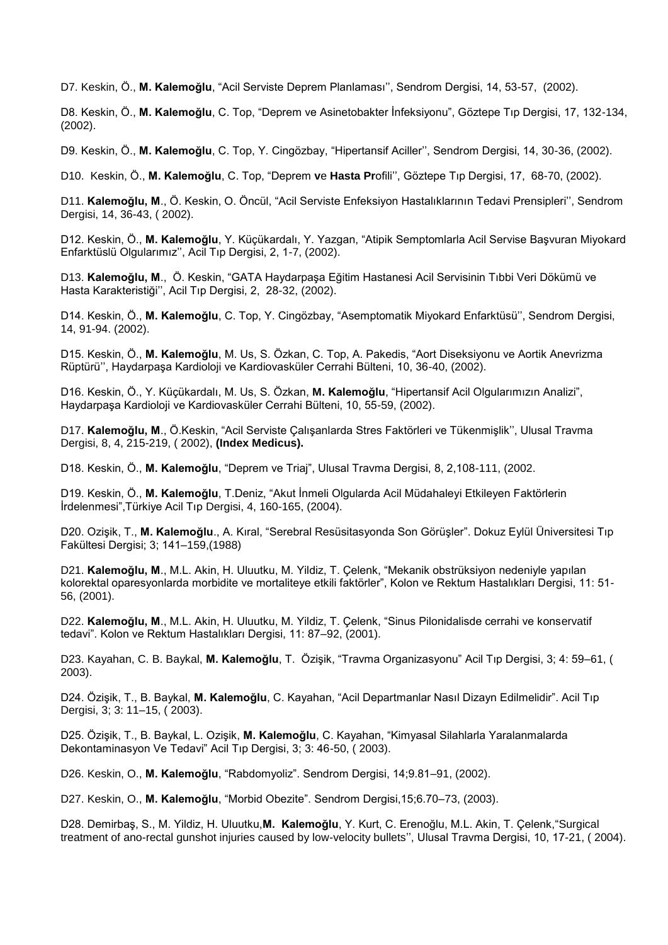D7. Keskin, Ö., **M. Kalemoğlu**, "Acil Serviste Deprem Planlaması'', Sendrom Dergisi, 14, 53-57, (2002).

D8. Keskin, Ö., **M. Kalemoğlu**, C. Top, "Deprem ve Asinetobakter İnfeksiyonu", Göztepe Tıp Dergisi, 17, 132-134, (2002).

D9. Keskin, Ö., **M. Kalemoğlu**, C. Top, Y. Cingözbay, "Hipertansif Aciller'', Sendrom Dergisi, 14, 30-36, (2002).

D10. Keskin, Ö., **M. Kalemoğlu**, C. Top, "Deprem **v**e **Hasta Pr**ofili'', Göztepe Tıp Dergisi, 17, 68-70, (2002).

D11. **Kalemoğlu, M**., Ö. Keskin, O. Öncül, "Acil Serviste Enfeksiyon Hastalıklarının Tedavi Prensipleri'', Sendrom Dergisi, 14, 36-43, ( 2002).

D12. Keskin, Ö., **M. Kalemoğlu**, Y. Küçükardalı, Y. Yazgan, "Atipik Semptomlarla Acil Servise Başvuran Miyokard Enfarktüslü Olgularımız'', Acil Tıp Dergisi, 2, 1-7, (2002).

D13. **Kalemoğlu, M**., Ö. Keskin, "GATA Haydarpaşa Eğitim Hastanesi Acil Servisinin Tıbbi Veri Dökümü ve Hasta Karakteristiği'', Acil Tıp Dergisi, 2, 28-32, (2002).

D14. Keskin, Ö., **M. Kalemoğlu**, C. Top, Y. Cingözbay, "Asemptomatik Miyokard Enfarktüsü'', Sendrom Dergisi, 14, 91-94. (2002).

D15. Keskin, Ö., **M. Kalemoğlu**, M. Us, S. Özkan, C. Top, A. Pakedis, "Aort Diseksiyonu ve Aortik Anevrizma Rüptürü'', Haydarpaşa Kardioloji ve Kardiovasküler Cerrahi Bülteni, 10, 36-40, (2002).

D16. Keskin, Ö., Y. Küçükardalı, M. Us, S. Özkan, **M. Kalemoğlu**, "Hipertansif Acil Olgularımızın Analizi", Haydarpaşa Kardioloji ve Kardiovasküler Cerrahi Bülteni, 10, 55-59, (2002).

D17. **Kalemoğlu, M**., Ö.Keskin, "Acil Serviste Çalışanlarda Stres Faktörleri ve Tükenmişlik'', Ulusal Travma Dergisi, 8, 4, 215-219, ( 2002), **(Index Medicus).**

D18. Keskin, Ö., **M. Kalemoğlu**, "Deprem ve Triaj", Ulusal Travma Dergisi, 8, 2,108-111, (2002.

D19. Keskin, Ö., **M. Kalemoğlu**, T.Deniz, "Akut İnmeli Olgularda Acil Müdahaleyi Etkileyen Faktörlerin İrdelenmesi",Türkiye Acil Tıp Dergisi, 4, 160-165, (2004).

D20. Ozişik, T., **M. Kalemoğlu**., A. Kıral, "Serebral Resüsitasyonda Son Görüşler". Dokuz Eylül Üniversitesi Tıp Fakültesi Dergisi; 3; 141–159,(1988)

D21. **Kalemoğlu, M**., M.L. Akin, H. Uluutku, M. Yildiz, T. Çelenk, "Mekanik obstrüksiyon nedeniyle yapılan kolorektal oparesyonlarda morbidite ve mortaliteye etkili faktörler", Kolon ve Rektum Hastalıkları Dergisi, 11: 51- 56, (2001).

D22. **Kalemoğlu, M**., M.L. Akin, H. Uluutku, M. Yildiz, T. Çelenk, "Sinus Pilonidalisde cerrahi ve konservatif tedavi". Kolon ve Rektum Hastalıkları Dergisi, 11: 87–92, (2001).

D23. Kayahan, C. B. Baykal, **M. Kalemoğlu**, T. Özişik, "Travma Organizasyonu" Acil Tıp Dergisi, 3; 4: 59–61, ( 2003).

D24. Özişik, T., B. Baykal, **M. Kalemoğlu**, C. Kayahan, "Acil Departmanlar Nasıl Dizayn Edilmelidir". Acil Tıp Dergisi, 3; 3: 11–15, ( 2003).

D25. Özişik, T., B. Baykal, L. Ozişik, **M. Kalemoğlu**, C. Kayahan, "Kimyasal Silahlarla Yaralanmalarda Dekontaminasyon Ve Tedavi" Acil Tıp Dergisi, 3; 3: 46-50, ( 2003).

D26. Keskin, O., **M. Kalemoğlu**, "Rabdomyoliz". Sendrom Dergisi, 14;9.81–91, (2002).

D27. Keskin, O., **M. Kalemoğlu**, "Morbid Obezite". Sendrom Dergisi,15;6.70–73, (2003).

D28. Demirbaş, S., M. Yildiz, H. Uluutku,**M. Kalemoğlu**, Y. Kurt, C. Erenoğlu, M.L. Akin, T. Çelenk,"Surgical treatment of ano-rectal gunshot injuries caused by low-velocity bullets'', Ulusal Travma Dergisi, 10, 17-21, ( 2004).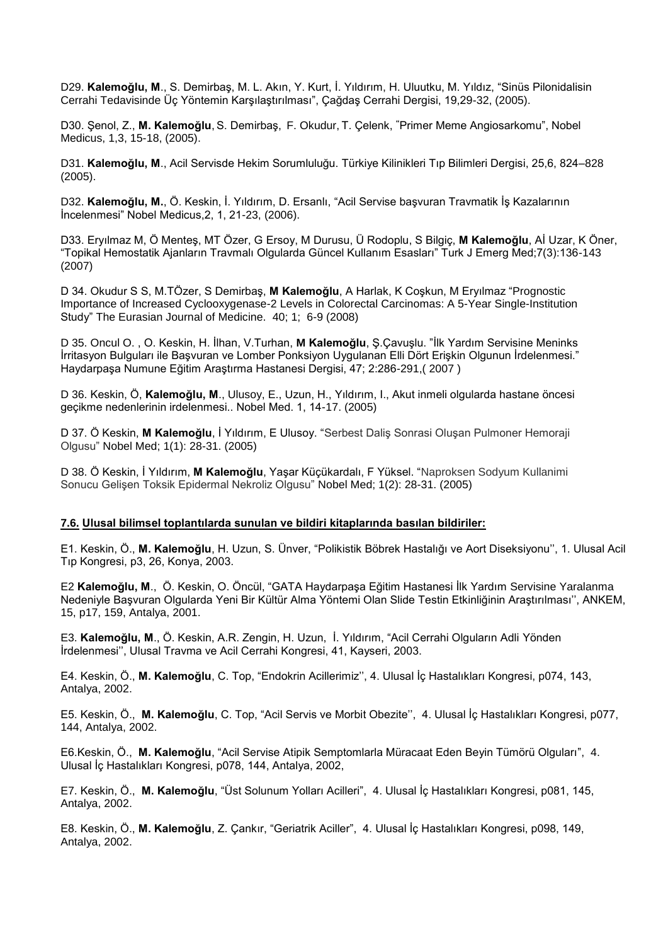D29. **Kalemoğlu, M**., S. Demirbaş, M. L. Akın, Y. Kurt, İ. Yıldırım, H. Uluutku, M. Yıldız, "Sinüs Pilonidalisin Cerrahi Tedavisinde Üç Yöntemin Karşılaştırılması", Çağdaş Cerrahi Dergisi, 19,29-32, (2005).

D30. Şenol, Z., **M. Kalemoğlu**, S. Demirbaş, F. Okudur, T. Çelenk, **"**Primer Meme Angiosarkomu", Nobel Medicus, 1,3, 15-18, (2005).

D31. **Kalemoğlu, M**., Acil Servisde Hekim Sorumluluğu. Türkiye Kilinikleri Tıp Bilimleri Dergisi, 25,6, 824–828 (2005).

D32. **Kalemoğlu, M.**, Ö. Keskin, İ. Yıldırım, D. Ersanlı, "Acil Servise başvuran Travmatik İş Kazalarının İncelenmesi" Nobel Medicus,2, 1, 21-23, (2006).

D33. Eryılmaz M, Ö Menteş, MT Özer, G Ersoy, M Durusu, Ü Rodoplu, S Bilgiç, **M Kalemoğlu**, Aİ Uzar, K Öner, "Topikal Hemostatik Ajanların Travmalı Olgularda Güncel Kullanım Esasları" Turk J Emerg Med;7(3):136-143 (2007)

D 34. Okudur S S, M.TÖzer, S Demirbaş, **M Kalemoğlu**, A Harlak, K Coşkun, M Eryılmaz "Prognostic Importance of Increased Cyclooxygenase-2 Levels in Colorectal Carcinomas: A 5-Year Single-Institution Study" The Eurasian Journal of Medicine. 40; 1; 6-9 (2008)

D 35. Oncul O. , O. Keskin, H. İlhan, V.Turhan, **M Kalemoğlu**, Ş.Çavuşlu. "İlk Yardım Servisine Meninks İrritasyon Bulguları ile Başvuran ve Lomber Ponksiyon Uygulanan Elli Dört Erişkin Olgunun İrdelenmesi." Haydarpaşa Numune Eğitim Araştırma Hastanesi Dergisi, 47; 2:286-291,( 2007 )

D 36. Keskin, Ö, **Kalemoğlu, M**., Ulusoy, E., Uzun, H., Yıldırım, I., Akut inmeli olgularda hastane öncesi geçikme nedenlerinin irdelenmesi.. Nobel Med. 1, 14-17. (2005)

D 37. Ö Keskin, **M Kalemoğlu**, İ Yıldırım, E Ulusoy. "Serbest Daliş Sonrasi Oluşan Pulmoner Hemoraji Olgusu" Nobel Med; 1(1): 28-31. (2005)

D 38. Ö Keskin, İ Yıldırım, **M Kalemoğlu**, Yaşar Küçükardalı, F Yüksel. "Naproksen Sodyum Kullanimi Sonucu Gelişen Toksik Epidermal Nekroliz Olgusu" Nobel Med; 1(2): 28-31. (2005)

#### **7.6. Ulusal bilimsel toplantılarda sunulan ve bildiri kitaplarında basılan bildiriler:**

E1. Keskin, Ö., **M. Kalemoğlu**, H. Uzun, S. Ünver, "Polikistik Böbrek Hastalığı ve Aort Diseksiyonu'', 1. Ulusal Acil Tıp Kongresi, p3, 26, Konya, 2003.

E2 **Kalemoğlu, M**., Ö. Keskin, O. Öncül, "GATA Haydarpaşa Eğitim Hastanesi İlk Yardım Servisine Yaralanma Nedeniyle Başvuran Olgularda Yeni Bir Kültür Alma Yöntemi Olan Slide Testin Etkinliğinin Araştırılması'', ANKEM, 15, p17, 159, Antalya, 2001.

E3. **Kalemoğlu, M**., Ö. Keskin, A.R. Zengin, H. Uzun, İ. Yıldırım, "Acil Cerrahi Olguların Adli Yönden İrdelenmesi'', Ulusal Travma ve Acil Cerrahi Kongresi, 41, Kayseri, 2003.

E4. Keskin, Ö., **M. Kalemoğlu**, C. Top, "Endokrin Acillerimiz'', 4. Ulusal İç Hastalıkları Kongresi, p074, 143, Antalya, 2002.

E5. Keskin, Ö., **M. Kalemoğlu**, C. Top, "Acil Servis ve Morbit Obezite'', 4. Ulusal İç Hastalıkları Kongresi, p077, 144, Antalya, 2002.

E6.Keskin, Ö., **M. Kalemoğlu**, "Acil Servise Atipik Semptomlarla Müracaat Eden Beyin Tümörü Olguları", 4. Ulusal İç Hastalıkları Kongresi, p078, 144, Antalya, 2002,

E7. Keskin, Ö., **M. Kalemoğlu**, "Üst Solunum Yolları Acilleri", 4. Ulusal İç Hastalıkları Kongresi, p081, 145, Antalya, 2002.

E8. Keskin, Ö., **M. Kalemoğlu**, Z. Çankır, "Geriatrik Aciller", 4. Ulusal İç Hastalıkları Kongresi, p098, 149, Antalya, 2002.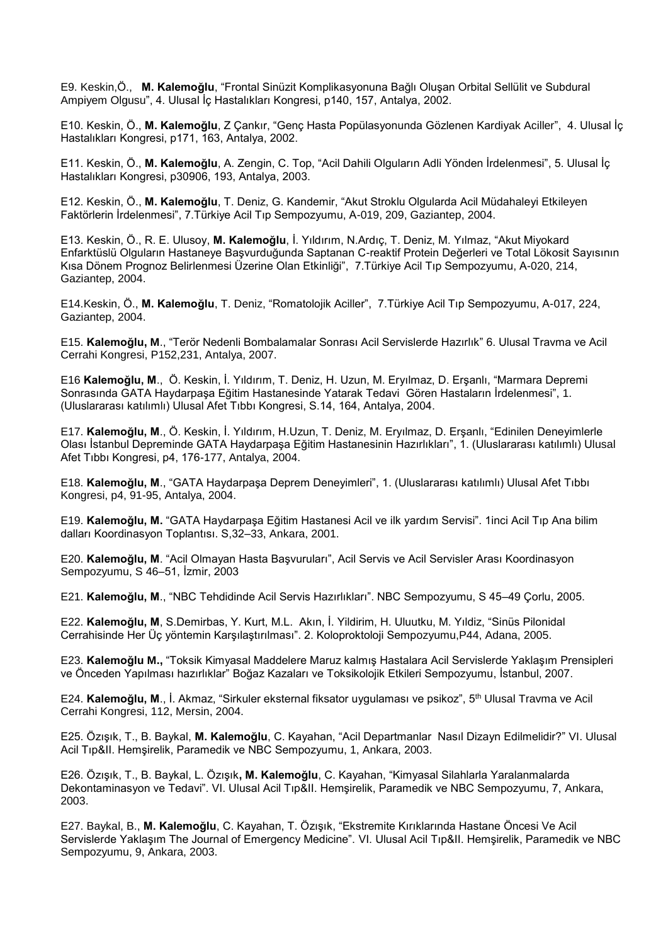E9. Keskin,Ö., **M. Kalemoğlu**, "Frontal Sinüzit Komplikasyonuna Bağlı Oluşan Orbital Sellülit ve Subdural Ampiyem Olgusu", 4. Ulusal İç Hastalıkları Kongresi, p140, 157, Antalya, 2002.

E10. Keskin, Ö., **M. Kalemoğlu**, Z Çankır, "Genç Hasta Popülasyonunda Gözlenen Kardiyak Aciller", 4. Ulusal İç Hastalıkları Kongresi, p171, 163, Antalya, 2002.

E11. Keskin, Ö., **M. Kalemoğlu**, A. Zengin, C. Top, "Acil Dahili Olguların Adli Yönden İrdelenmesi", 5. Ulusal İç Hastalıkları Kongresi, p30906, 193, Antalya, 2003.

E12. Keskin, Ö., **M. Kalemoğlu**, T. Deniz, G. Kandemir, "Akut Stroklu Olgularda Acil Müdahaleyi Etkileyen Faktörlerin İrdelenmesi", 7.Türkiye Acil Tıp Sempozyumu, A-019, 209, Gaziantep, 2004.

E13. Keskin, Ö., R. E. Ulusoy, **M. Kalemoğlu**, İ. Yıldırım, N.Ardıç, T. Deniz, M. Yılmaz, "Akut Miyokard Enfarktüslü Olguların Hastaneye Başvurduğunda Saptanan C-reaktif Protein Değerleri ve Total Lökosit Sayısının Kısa Dönem Prognoz Belirlenmesi Üzerine Olan Etkinliği", 7.Türkiye Acil Tıp Sempozyumu, A-020, 214, Gaziantep, 2004.

E14.Keskin, Ö., **M. Kalemoğlu**, T. Deniz, "Romatolojik Aciller", 7.Türkiye Acil Tıp Sempozyumu, A-017, 224, Gaziantep, 2004.

E15. **Kalemoğlu, M**., "Terör Nedenli Bombalamalar Sonrası Acil Servislerde Hazırlık" 6. Ulusal Travma ve Acil Cerrahi Kongresi, P152,231, Antalya, 2007.

E16 **Kalemoğlu, M**., Ö. Keskin, İ. Yıldırım, T. Deniz, H. Uzun, M. Eryılmaz, D. Erşanlı, "Marmara Depremi Sonrasında GATA Haydarpaşa Eğitim Hastanesinde Yatarak Tedavi Gören Hastaların İrdelenmesi", 1. (Uluslararası katılımlı) Ulusal Afet Tıbbı Kongresi, S.14, 164, Antalya, 2004.

E17. **Kalemoğlu, M**., Ö. Keskin, İ. Yıldırım, H.Uzun, T. Deniz, M. Eryılmaz, D. Erşanlı, "Edinilen Deneyimlerle Olası İstanbul Depreminde GATA Haydarpaşa Eğitim Hastanesinin Hazırlıkları", 1. (Uluslararası katılımlı) Ulusal Afet Tıbbı Kongresi, p4, 176-177, Antalya, 2004.

E18. **Kalemoğlu, M**., "GATA Haydarpaşa Deprem Deneyimleri", 1. (Uluslararası katılımlı) Ulusal Afet Tıbbı Kongresi, p4, 91-95, Antalya, 2004.

E19. **Kalemoğlu, M.** "GATA Haydarpaşa Eğitim Hastanesi Acil ve ilk yardım Servisi". 1inci Acil Tıp Ana bilim dalları Koordinasyon Toplantısı. S,32–33, Ankara, 2001.

E20. **Kalemoğlu, M**. "Acil Olmayan Hasta Başvuruları", Acil Servis ve Acil Servisler Arası Koordinasyon Sempozyumu, S 46–51, İzmir, 2003

E21. **Kalemoğlu, M**., "NBC Tehdidinde Acil Servis Hazırlıkları". NBC Sempozyumu, S 45–49 Çorlu, 2005.

E22. **Kalemoğlu, M**, S.Demirbas, Y. Kurt, M.L. Akın, İ. Yildirim, H. Uluutku, M. Yıldiz, "Sinüs Pilonidal Cerrahisinde Her Üç yöntemin Karşılaştırılması". 2. Koloproktoloji Sempozyumu,P44, Adana, 2005.

E23. **Kalemoğlu M.,** "Toksik Kimyasal Maddelere Maruz kalmış Hastalara Acil Servislerde Yaklaşım Prensipleri ve Önceden Yapılması hazırlıklar" Boğaz Kazaları ve Toksikolojik Etkileri Sempozyumu, İstanbul, 2007.

E24. **Kalemoğlu, M**., İ. Akmaz, "Sirkuler eksternal fiksator uygulaması ve psikoz", 5th Ulusal Travma ve Acil Cerrahi Kongresi, 112, Mersin, 2004.

E25. Özışık, T., B. Baykal, **M. Kalemoğlu**, C. Kayahan, "Acil Departmanlar Nasıl Dizayn Edilmelidir?" VI. Ulusal Acil Tıp&II. Hemşirelik, Paramedik ve NBC Sempozyumu, 1, Ankara, 2003.

E26. Özışık, T., B. Baykal, L. Özışık**, M. Kalemoğlu**, C. Kayahan, "Kimyasal Silahlarla Yaralanmalarda Dekontaminasyon ve Tedavi". VI. Ulusal Acil Tıp&II. Hemşirelik, Paramedik ve NBC Sempozyumu, 7, Ankara, 2003.

E27. Baykal, B., **M. Kalemoğlu**, C. Kayahan, T. Özışık, "Ekstremite Kırıklarında Hastane Öncesi Ve Acil Servislerde Yaklaşım The Journal of Emergency Medicine". VI. Ulusal Acil Tıp&II. Hemşirelik, Paramedik ve NBC Sempozyumu, 9, Ankara, 2003.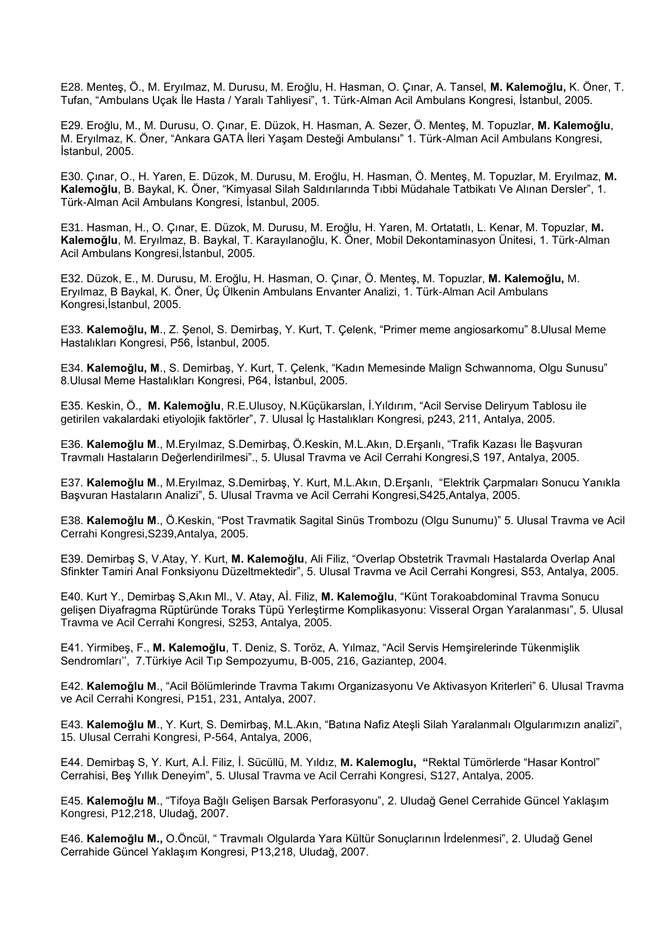E28. Menteş, Ö., M. Eryılmaz, M. Durusu, M. Eroğlu, H. Hasman, O. Çınar, A. Tansel, **M. Kalemoğlu,** K. Öner, T. Tufan, "Ambulans Uçak İle Hasta / Yaralı Tahliyesi", 1. Türk-Alman Acil Ambulans Kongresi, İstanbul, 2005.

E29. Eroğlu, M., M. Durusu, O. Çınar, E. Düzok, H. Hasman, A. Sezer, Ö. Menteş, M. Topuzlar, **M. Kalemoğlu**, M. Eryılmaz, K. Öner, "Ankara GATA İleri Yaşam Desteği Ambulansı" 1. Türk-Alman Acil Ambulans Kongresi, İstanbul, 2005.

E30. Çınar, O., H. Yaren, E. Düzok, M. Durusu, M. Eroğlu, H. Hasman, Ö. Menteş, M. Topuzlar, M. Eryılmaz, **M. Kalemoğlu**, B. Baykal, K. Öner, "Kimyasal Silah Saldırılarında Tıbbi Müdahale Tatbikatı Ve Alınan Dersler", 1. Türk-Alman Acil Ambulans Kongresi, İstanbul, 2005.

E31. Hasman, H., O. Çınar, E. Düzok, M. Durusu, M. Eroğlu, H. Yaren, M. Ortatatlı, L. Kenar, M. Topuzlar, **M. Kalemoğlu**, M. Eryılmaz, B. Baykal, T. Karayılanoğlu, K. Öner, Mobil Dekontaminasyon Ünitesi, 1. Türk-Alman Acil Ambulans Kongresi,İstanbul, 2005.

E32. Düzok, E., M. Durusu, M. Eroğlu, H. Hasman, O. Çınar, Ö. Menteş, M. Topuzlar, **M. Kalemoğlu,** M. Eryılmaz, B Baykal, K. Öner, Üç Ülkenin Ambulans Envanter Analizi, 1. Türk-Alman Acil Ambulans Kongresi,İstanbul, 2005.

E33. **Kalemoğlu, M**., Z. Şenol, S. Demirbaş, Y. Kurt, T. Çelenk, "Primer meme angiosarkomu" 8.Ulusal Meme Hastalıkları Kongresi, P56, İstanbul, 2005.

E34. **Kalemoğlu, M**., S. Demirbaş, Y. Kurt, T. Çelenk, "Kadın Memesinde Malign Schwannoma, Olgu Sunusu" 8.Ulusal Meme Hastalıkları Kongresi, P64, İstanbul, 2005.

E35. Keskin, Ö., **M. Kalemoğlu**, R.E.Ulusoy, N.Küçükarslan, İ.Yıldırım, "Acil Servise Deliryum Tablosu ile getirilen vakalardaki etiyolojik faktörler", 7. Ulusal İç Hastalıkları Kongresi, p243, 211, Antalya, 2005.

E36. **Kalemoğlu M**., M.Eryılmaz, S.Demirbaş, Ö.Keskin, M.L.Akın, D.Erşanlı, "Trafik Kazası İle Başvuran Travmalı Hastaların Değerlendirilmesi"., 5. Ulusal Travma ve Acil Cerrahi Kongresi,S 197, Antalya, 2005.

E37. **Kalemoğlu M**., M.Eryılmaz, S.Demirbaş, Y. Kurt, M.L.Akın, D.Erşanlı, "Elektrik Çarpmaları Sonucu Yanıkla Başvuran Hastaların Analizi", 5. Ulusal Travma ve Acil Cerrahi Kongresi,S425,Antalya, 2005.

E38. **Kalemoğlu M**., Ö.Keskin, "Post Travmatik Sagital Sinüs Trombozu (Olgu Sunumu)" 5. Ulusal Travma ve Acil Cerrahi Kongresi,S239,Antalya, 2005.

E39. Demirbaş S, V.Atay, Y. Kurt, **M. Kalemoğlu**, Ali Filiz, "Overlap Obstetrik Travmalı Hastalarda Overlap Anal Sfinkter Tamiri Anal Fonksiyonu Düzeltmektedir", 5. Ulusal Travma ve Acil Cerrahi Kongresi, S53, Antalya, 2005.

E40. Kurt Y., Demirbaş S,Akın Ml., V. Atay, Aİ. Filiz, **M. Kalemoğlu**, "Künt Torakoabdominal Travma Sonucu gelişen Diyafragma Rüptüründe Toraks Tüpü Yerleştirme Komplikasyonu: Visseral Organ Yaralanması", 5. Ulusal Travma ve Acil Cerrahi Kongresi, S253, Antalya, 2005.

E41. Yirmibeş, F., **M. Kalemoğlu**, T. Deniz, S. Toröz, A. Yılmaz, "Acil Servis Hemşirelerinde Tükenmişlik Sendromları'', 7.Türkiye Acil Tıp Sempozyumu, B-005, 216, Gaziantep, 2004.

E42. **Kalemoğlu M**., "Acil Bölümlerinde Travma Takımı Organizasyonu Ve Aktivasyon Kriterleri" 6. Ulusal Travma ve Acil Cerrahi Kongresi, P151, 231, Antalya, 2007.

E43. **Kalemoğlu M**., Y. Kurt, S. Demirbaş, M.L.Akın, "Batına Nafiz Ateşli Silah Yaralanmalı Olgularımızın analizi", 15. Ulusal Cerrahi Kongresi, P-564, Antalya, 2006,

E44. Demirbaş S, Y. Kurt, A.İ. Filiz, İ. Sücüllü, M. Yıldız, **M. Kalemoglu, "**Rektal Tümörlerde "Hasar Kontrol" Cerrahisi, Beş Yıllık Deneyim", 5. Ulusal Travma ve Acil Cerrahi Kongresi, S127, Antalya, 2005.

E45. **Kalemoğlu M**., "Tifoya Bağlı Gelişen Barsak Perforasyonu", 2. Uludağ Genel Cerrahide Güncel Yaklaşım Kongresi, P12,218, Uludağ, 2007.

E46. **Kalemoğlu M.,** O.Öncül, " Travmalı Olgularda Yara Kültür Sonuçlarının İrdelenmesi", 2. Uludağ Genel Cerrahide Güncel Yaklaşım Kongresi, P13,218, Uludağ, 2007.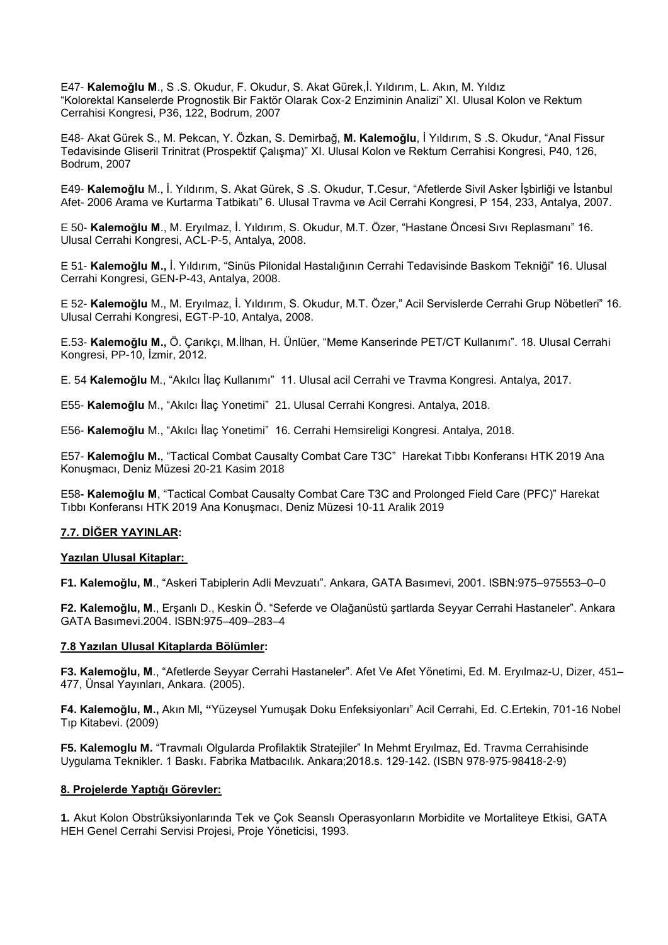E47- **Kalemoğlu M**., S .S. Okudur, F. Okudur, S. Akat Gürek,İ. Yıldırım, L. Akın, M. Yıldız "Kolorektal Kanselerde Prognostik Bir Faktör Olarak Cox-2 Enziminin Analizi" XI. Ulusal Kolon ve Rektum Cerrahisi Kongresi, P36, 122, Bodrum, 2007

E48- Akat Gürek S., M. Pekcan, Y. Özkan, S. Demirbağ, **M. Kalemoğlu**, İ Yıldırım, S .S. Okudur, "Anal Fissur Tedavisinde Gliseril Trinitrat (Prospektif Çalışma)" XI. Ulusal Kolon ve Rektum Cerrahisi Kongresi, P40, 126, Bodrum, 2007

E49- **Kalemoğlu** M., İ. Yıldırım, S. Akat Gürek, S .S. Okudur, T.Cesur, "Afetlerde Sivil Asker İşbirliği ve İstanbul Afet- 2006 Arama ve Kurtarma Tatbikatı" 6. Ulusal Travma ve Acil Cerrahi Kongresi, P 154, 233, Antalya, 2007.

E 50- **Kalemoğlu M**., M. Eryılmaz, İ. Yıldırım, S. Okudur, M.T. Özer, "Hastane Öncesi Sıvı Replasmanı" 16. Ulusal Cerrahi Kongresi, ACL-P-5, Antalya, 2008.

E 51- **Kalemoğlu M.,** İ. Yıldırım, "Sinüs Pilonidal Hastalığının Cerrahi Tedavisinde Baskom Tekniği" 16. Ulusal Cerrahi Kongresi, GEN-P-43, Antalya, 2008.

E 52- **Kalemoğlu** M., M. Eryılmaz, İ. Yıldırım, S. Okudur, M.T. Özer," Acil Servislerde Cerrahi Grup Nöbetleri" 16. Ulusal Cerrahi Kongresi, EGT-P-10, Antalya, 2008.

E.53- **Kalemoğlu M.,** Ö. Çarıkçı, M.İlhan, H. Ünlüer, "Meme Kanserinde PET/CT Kullanımı". 18. Ulusal Cerrahi Kongresi, PP-10, İzmir, 2012.

E. 54 **Kalemoğlu** M., "Akılcı İlaç Kullanımı" 11. Ulusal acil Cerrahi ve Travma Kongresi. Antalya, 2017.

E55- **Kalemoğlu** M., "Akılcı İlaç Yonetimi" 21. Ulusal Cerrahi Kongresi. Antalya, 2018.

E56- **Kalemoğlu** M., "Akılcı İlaç Yonetimi" 16. Cerrahi Hemsireligi Kongresi. Antalya, 2018.

E57- **Kalemoğlu M.**, "Tactical Combat Causalty Combat Care T3C" Harekat Tıbbı Konferansı HTK 2019 Ana Konuşmacı, Deniz Müzesi 20-21 Kasim 2018

E58**- Kalemoğlu M**, "Tactical Combat Causalty Combat Care T3C and Prolonged Field Care (PFC)" Harekat Tıbbı Konferansı HTK 2019 Ana Konuşmacı, Deniz Müzesi 10-11 Aralik 2019

### **7.7. DİĞER YAYINLAR:**

### **Yazılan Ulusal Kitaplar:**

**F1. Kalemoğlu, M**., "Askeri Tabiplerin Adli Mevzuatı". Ankara, GATA Basımevi, 2001. ISBN:975–975553–0–0

**F2. Kalemoğlu, M**., Erşanlı D., Keskin Ö. "Seferde ve Olağanüstü şartlarda Seyyar Cerrahi Hastaneler". Ankara GATA Basımevi.2004. ISBN:975–409–283–4

### **7.8 Yazılan Ulusal Kitaplarda Bölümler:**

**F3. Kalemoğlu, M**., "Afetlerde Seyyar Cerrahi Hastaneler". Afet Ve Afet Yönetimi, Ed. M. Eryılmaz-U, Dizer, 451– 477, Ünsal Yayınları, Ankara. (2005).

**F4. Kalemoğlu, M.,** Akın Ml**, "**Yüzeysel Yumuşak Doku Enfeksiyonları" Acil Cerrahi, Ed. C.Ertekin, 701-16 Nobel Tıp Kitabevi. (2009)

**F5. Kalemoglu M.** "Travmalı Olgularda Profilaktik Stratejiler" In Mehmt Eryılmaz, Ed. Travma Cerrahisinde Uygulama Teknikler. 1 Baskı. Fabrika Matbacılık. Ankara;2018.s. 129-142. (ISBN 978-975-98418-2-9)

#### **8. Projelerde Yaptığı Görevler:**

**1.** Akut Kolon Obstrüksiyonlarında Tek ve Çok Seanslı Operasyonların Morbidite ve Mortaliteye Etkisi, GATA HEH Genel Cerrahi Servisi Projesi, Proje Yöneticisi, 1993.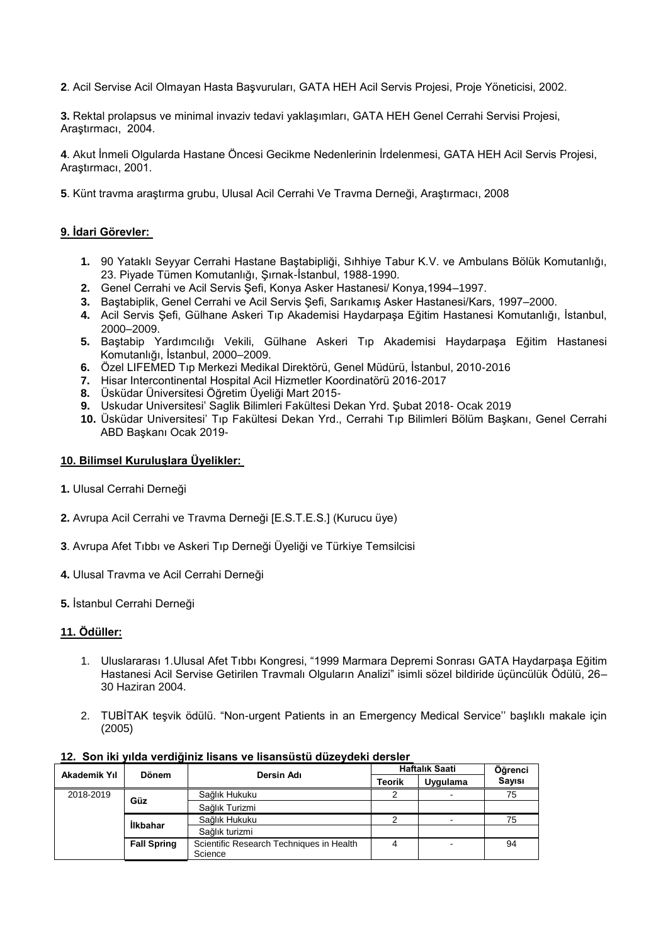**2**. Acil Servise Acil Olmayan Hasta Başvuruları, GATA HEH Acil Servis Projesi, Proje Yöneticisi, 2002.

**3.** Rektal prolapsus ve minimal invaziv tedavi yaklaşımları, GATA HEH Genel Cerrahi Servisi Projesi, Araştırmacı, 2004.

**4**. Akut İnmeli Olgularda Hastane Öncesi Gecikme Nedenlerinin İrdelenmesi, GATA HEH Acil Servis Projesi, Araştırmacı, 2001.

**5**. Künt travma araştırma grubu, Ulusal Acil Cerrahi Ve Travma Derneği, Araştırmacı, 2008

## **9. İdari Görevler:**

- **1.** 90 Yataklı Seyyar Cerrahi Hastane Baştabipliği, Sıhhiye Tabur K.V. ve Ambulans Bölük Komutanlığı, 23. Piyade Tümen Komutanlığı, Şırnak-İstanbul, 1988-1990.
- **2.** Genel Cerrahi ve Acil Servis Şefi, Konya Asker Hastanesi/ Konya,1994–1997.
- **3.** Baştabiplik, Genel Cerrahi ve Acil Servis Şefi, Sarıkamış Asker Hastanesi/Kars, 1997–2000.
- **4.** Acil Servis Şefi, Gülhane Askeri Tıp Akademisi Haydarpaşa Eğitim Hastanesi Komutanlığı, İstanbul, 2000–2009.
- **5.** Baştabip Yardımcılığı Vekili, Gülhane Askeri Tıp Akademisi Haydarpaşa Eğitim Hastanesi Komutanlığı, İstanbul, 2000–2009.
- **6.** Özel LIFEMED Tıp Merkezi Medikal Direktörü, Genel Müdürü, İstanbul, 2010-2016
- **7.** Hisar Intercontinental Hospital Acil Hizmetler Koordinatörü 2016-2017
- **8.** Üsküdar Üniversitesi Öğretim Üyeliği Mart 2015-
- **9.** Uskudar Universitesi' Saglik Bilimleri Fakültesi Dekan Yrd. Şubat 2018- Ocak 2019
- **10.** Üsküdar Universitesi' Tıp Fakültesi Dekan Yrd., Cerrahi Tıp Bilimleri Bölüm Başkanı, Genel Cerrahi ABD Başkanı Ocak 2019-

#### **10. Bilimsel Kuruluşlara Üyelikler:**

- **1.** Ulusal Cerrahi Derneği
- **2.** Avrupa Acil Cerrahi ve Travma Derneği [E.S.T.E.S.] (Kurucu üye)
- **3**. Avrupa Afet Tıbbı ve Askeri Tıp Derneği Üyeliği ve Türkiye Temsilcisi
- **4.** Ulusal Travma ve Acil Cerrahi Derneği
- **5.** İstanbul Cerrahi Derneği

# **11. Ödüller:**

- 1. Uluslararası 1.Ulusal Afet Tıbbı Kongresi, "1999 Marmara Depremi Sonrası GATA Haydarpaşa Eğitim Hastanesi Acil Servise Getirilen Travmalı Olguların Analizi" isimli sözel bildiride üçüncülük Ödülü, 26– 30 Haziran 2004.
- 2. TUBİTAK teşvik ödülü. "Non-urgent Patients in an Emergency Medical Service'' başlıklı makale için (2005)

| <b>12. OON INTYNG VERGIJING NGGHO VE NGGHOGGG GULEVUENI UETOIET</b> |                    |                                          |                |          |               |  |
|---------------------------------------------------------------------|--------------------|------------------------------------------|----------------|----------|---------------|--|
| Akademik Yıl                                                        | <b>Dönem</b>       |                                          | Haftalık Saati |          | Öğrenci       |  |
|                                                                     |                    | Dersin Adı                               | <b>Teorik</b>  | Uygulama | <b>Savisi</b> |  |
| 2018-2019                                                           |                    | Sağlık Hukuku                            |                |          | 75            |  |
| Güz<br><b>Ilkbahar</b>                                              |                    | Sağlık Turizmi                           |                |          |               |  |
|                                                                     |                    | Sağlık Hukuku                            |                |          | 75            |  |
|                                                                     |                    | Sağlık turizmi                           |                |          |               |  |
|                                                                     | <b>Fall Spring</b> | Scientific Research Techniques in Health |                |          | 94            |  |

#### **12. Son iki yılda verdiğiniz lisans ve lisansüstü düzeydeki dersler**

**Science**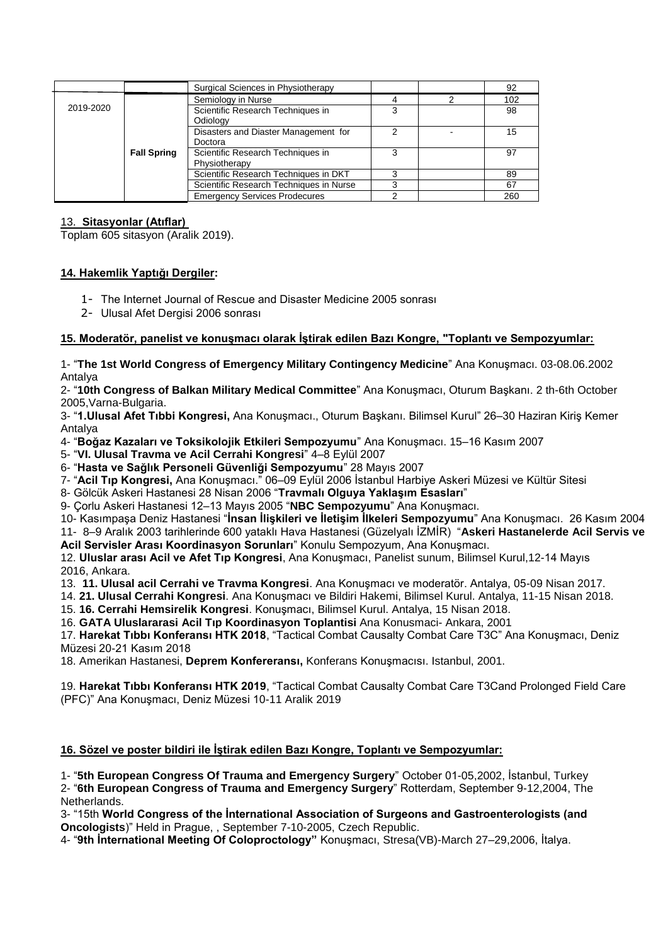|           |                    | Surgical Sciences in Physiotherapy      |   | 92  |
|-----------|--------------------|-----------------------------------------|---|-----|
| 2019-2020 |                    | Semiology in Nurse                      |   | 102 |
|           |                    | Scientific Research Techniques in       | 3 | 98  |
|           |                    | Odiology                                |   |     |
|           |                    | Disasters and Diaster Management for    |   | 15  |
|           | Doctora            |                                         |   |     |
|           | <b>Fall Spring</b> | Scientific Research Techniques in       | 3 | 97  |
|           |                    | Physiotherapy                           |   |     |
|           |                    | Scientific Research Techniques in DKT   |   | 89  |
|           |                    | Scientific Research Techniques in Nurse |   | 67  |
|           |                    | <b>Emergency Services Prodecures</b>    |   | 260 |

## 13. **Sitasyonlar (Atıflar)**

Toplam 605 sitasyon (Aralik 2019).

# **14. Hakemlik Yaptığı Dergiler:**

- 1- The Internet Journal of Rescue and Disaster Medicine 2005 sonrası
- 2- Ulusal Afet Dergisi 2006 sonrası

# **15. Moderatör, panelist ve konuşmacı olarak İştirak edilen Bazı Kongre, "Toplantı ve Sempozyumlar:**

1- "**The 1st World Congress of Emergency Military Contingency Medicine**" Ana Konuşmacı. 03-08.06.2002 Antalya

2- "**10th Congress of Balkan Military Medical Committee**" Ana Konuşmacı, Oturum Başkanı. 2 th-6th October 2005,Varna-Bulgaria.

3- "**1.Ulusal Afet Tıbbi Kongresi,** Ana Konuşmacı., Oturum Başkanı. Bilimsel Kurul" 26–30 Haziran Kiriş Kemer Antalya

4- "**Boğaz Kazaları ve Toksikolojik Etkileri Sempozyumu**" Ana Konuşmacı. 15–16 Kasım 2007

5- "**VI. Ulusal Travma ve Acil Cerrahi Kongresi**" 4–8 Eylül 2007

6- "**Hasta ve Sağlık Personeli Güvenliği Sempozyumu**" 28 Mayıs 2007

7- "**Acil Tıp Kongresi,** Ana Konuşmacı." 06–09 Eylül 2006 İstanbul Harbiye Askeri Müzesi ve Kültür Sitesi

8- Gölcük Askeri Hastanesi 28 Nisan 2006 "**Travmalı Olguya Yaklaşım Esasları**"

9- Çorlu Askeri Hastanesi 12–13 Mayıs 2005 "**NBC Sempozyumu**" Ana Konuşmacı.

10- Kasımpaşa Deniz Hastanesi "**İnsan İlişkileri ve İletişim İlkeleri Sempozyumu**" Ana Konuşmacı. 26 Kasım 2004 11- 8–9 Aralık 2003 tarihlerinde 600 yataklı Hava Hastanesi (Güzelyalı İZMİR) "**Askeri Hastanelerde Acil Servis ve Acil Servisler Arası Koordinasyon Sorunları**" Konulu Sempozyum, Ana Konuşmacı.

12. **Uluslar arası Acil ve Afet Tıp Kongresi**, Ana Konuşmacı, Panelist sunum, Bilimsel Kurul,12-14 Mayıs 2016, Ankara.

13. **11. Ulusal acil Cerrahi ve Travma Kongresi**. Ana Konuşmacı ve moderatör. Antalya, 05-09 Nisan 2017.

14. **21. Ulusal Cerrahi Kongresi**. Ana Konuşmacı ve Bildiri Hakemi, Bilimsel Kurul. Antalya, 11-15 Nisan 2018.

15. **16. Cerrahi Hemsirelik Kongresi**. Konuşmacı, Bilimsel Kurul. Antalya, 15 Nisan 2018.

16. **GATA Uluslararasi Acil Tıp Koordinasyon Toplantisi** Ana Konusmaci- Ankara, 2001

17. **Harekat Tıbbı Konferansı HTK 2018**, "Tactical Combat Causalty Combat Care T3C" Ana Konuşmacı, Deniz Müzesi 20-21 Kasım 2018

18. Amerikan Hastanesi, **Deprem Konfereransı,** Konferans Konuşmacısı. Istanbul, 2001.

19. **Harekat Tıbbı Konferansı HTK 2019**, "Tactical Combat Causalty Combat Care T3Cand Prolonged Field Care (PFC)" Ana Konuşmacı, Deniz Müzesi 10-11 Aralik 2019

### **16. Sözel ve poster bildiri ile İştirak edilen Bazı Kongre, Toplantı ve Sempozyumlar:**

1- "**5th European Congress Of Trauma and Emergency Surgery**" October 01-05,2002, İstanbul, Turkey 2- "**6th European Congress of Trauma and Emergency Surgery**" Rotterdam, September 9-12,2004, The Netherlands.

3- "15th **World Congress of the İnternational Association of Surgeons and Gastroenterologists (and Oncologists**)" Held in Prague, , September 7-10-2005, Czech Republic.

4- "**9th İnternational Meeting Of Coloproctology"** Konuşmacı, Stresa(VB)-March 27–29,2006, İtalya.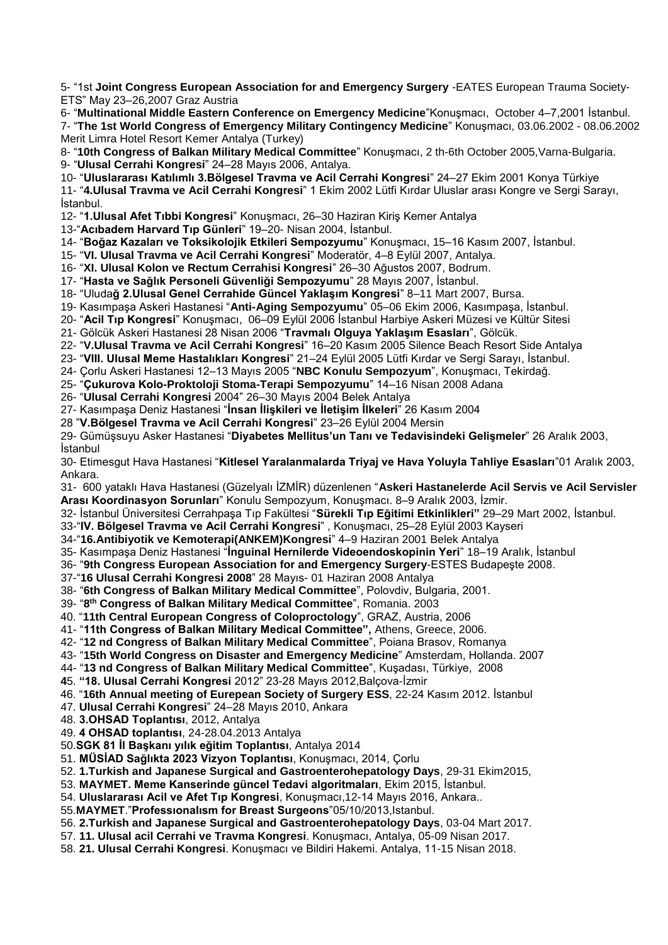5- "1st **Joint Congress European Association for and Emergency Surgery** -EATES European Trauma Society-ETS" May 23–26,2007 Graz Austria

6- "**Multinational Middle Eastern Conference on Emergency Medicine**"Konuşmacı, October 4–7,2001 İstanbul. 7- "**The 1st World Congress of Emergency Military Contingency Medicine**" Konuşmacı, 03.06.2002 - 08.06.2002 Merit Limra Hotel Resort Kemer Antalya (Turkey)

8- "**10th Congress of Balkan Military Medical Committee**" Konuşmacı, 2 th-6th October 2005,Varna-Bulgaria. 9- "**Ulusal Cerrahi Kongresi**" 24–28 Mayıs 2006, Antalya.

10- "**Uluslararası Katılımlı 3.Bölgesel Travma ve Acil Cerrahi Kongresi**" 24–27 Ekim 2001 Konya Türkiye

11- "**4.Ulusal Travma ve Acil Cerrahi Kongresi**" 1 Ekim 2002 Lütfi Kırdar Uluslar arası Kongre ve Sergi Sarayı, İstanbul.

12- "**1.Ulusal Afet Tıbbi Kongresi**" Konuşmacı, 26–30 Haziran Kiriş Kemer Antalya

13-"**Acıbadem Harvard Tıp Günleri**" 19–20- Nisan 2004, İstanbul.

14- "**Boğaz Kazaları ve Toksikolojik Etkileri Sempozyumu**" Konuşmacı, 15–16 Kasım 2007, İstanbul.

15- "**VI. Ulusal Travma ve Acil Cerrahi Kongresi**" Moderatör, 4–8 Eylül 2007, Antalya.

16- "**XI. Ulusal Kolon ve Rectum Cerrahisi Kongresi**" 26–30 Ağustos 2007, Bodrum.

17- "**Hasta ve Sağlık Personeli Güvenliği Sempozyumu**" 28 Mayıs 2007, İstanbul.

18- "Uluda**ğ 2.Ulusal Genel Cerrahide Güncel Yaklaşım Kongresi**" 8–11 Mart 2007, Bursa.

19- Kasımpaşa Askeri Hastanesi "**Anti-Aging Sempozyumu**" 05–06 Ekim 2006, Kasımpaşa, İstanbul.

20- "**Acil Tıp Kongresi**" Konuşmacı, 06–09 Eylül 2006 İstanbul Harbiye Askeri Müzesi ve Kültür Sitesi

21- Gölcük Askeri Hastanesi 28 Nisan 2006 "**Travmalı Olguya Yaklaşım Esasları**", Gölcük.

22- "**V.Ulusal Travma ve Acil Cerrahi Kongresi**" 16–20 Kasım 2005 Silence Beach Resort Side Antalya

23- "**VIII. Ulusal Meme Hastalıkları Kongresi**" 21–24 Eylül 2005 Lütfi Kırdar ve Sergi Sarayı, İstanbul.

24- Çorlu Askeri Hastanesi 12–13 Mayıs 2005 "**NBC Konulu Sempozyum**", Konuşmacı, Tekirdağ.

25- "**Çukurova Kolo-Proktoloji Stoma-Terapi Sempozyumu**" 14–16 Nisan 2008 Adana

26- "**Ulusal Cerrahi Kongresi** 2004" 26–30 Mayıs 2004 Belek Antalya

27- Kasımpaşa Deniz Hastanesi "**İnsan İlişkileri ve İletişim İlkeleri**" 26 Kasım 2004

28 "**V.Bölgesel Travma ve Acil Cerrahi Kongresi**" 23–26 Eylül 2004 Mersin

29- Gümüşsuyu Asker Hastanesi "**Diyabetes Mellitus'un Tanı ve Tedavisindeki Gelişmeler**" 26 Aralık 2003, İstanbul

30- Etimesgut Hava Hastanesi "**Kitlesel Yaralanmalarda Triyaj ve Hava Yoluyla Tahliye Esasları**"01 Aralık 2003, Ankara.

31- 600 yataklı Hava Hastanesi (Güzelyalı İZMİR) düzenlenen "**Askeri Hastanelerde Acil Servis ve Acil Servisler Arası Koordinasyon Sorunları**" Konulu Sempozyum, Konuşmacı. 8–9 Aralık 2003, İzmir.

32- İstanbul Üniversitesi Cerrahpaşa Tıp Fakültesi "**Sürekli Tıp Eğitimi Etkinlikleri"** 29–29 Mart 2002, İstanbul.

33-"**IV. Bölgesel Travma ve Acil Cerrahi Kongresi**" , Konuşmacı, 25–28 Eylül 2003 Kayseri

34-"**16.Antibiyotik ve Kemoterapi(ANKEM)Kongresi**" 4–9 Haziran 2001 Belek Antalya

35- Kasımpaşa Deniz Hastanesi "**İnguinal Hernilerde Videoendoskopinin Yeri**" 18–19 Aralık, İstanbul

36- "**9th Congress European Association for and Emergency Surgery**-ESTES Budapeşte 2008.

37-"**16 Ulusal Cerrahi Kongresi 2008**" 28 Mayıs- 01 Haziran 2008 Antalya

38- "**6th Congress of Balkan Military Medical Committee**", Polovdiv, Bulgaria, 2001.

39- "**8 th Congress of Balkan Military Medical Committee**", Romania. 2003

40. "**11th Central European Congress of Coloproctology**", GRAZ, Austria, 2006

41- "**11th Congress of Balkan Military Medical Committee",** Athens, Greece, 2006.

42- "**12 nd Congress of Balkan Military Medical Committee**", Poiana Brasov, Romanya

43- "**15th World Congress on Disaster and Emergency Medicine**" Amsterdam, Hollanda. 2007

44- "**13 nd Congress of Balkan Military Medical Committee**", Kuşadası, Türkiye, 2008

**4**5. **"18. Ulusal Cerrahi Kongresi** 2012" 23-28 Mayıs 2012,Balçova-İzmir

46. "**16th Annual meeting of Eurepean Society of Surgery ESS**, 22-24 Kasım 2012. İstanbul

47. **Ulusal Cerrahi Kongresi**" 24–28 Mayıs 2010, Ankara

48. **3.OHSAD Toplantısı**, 2012, Antalya

49. **4 OHSAD toplantısı**, 24-28.04.2013 Antalya

50.**SGK 81 İl Başkanı yılık eğitim Toplantısı**, Antalya 2014

51. **MÜSİAD Sağlıkta 2023 Vizyon Toplantısı**, Konuşmacı, 2014, Çorlu

52. **1.Turkish and Japanese Surgical and Gastroenterohepatology Days**, 29-31 Ekim2015,

53. **MAYMET. Meme Kanserinde güncel Tedavi algoritmaları**, Ekim 2015, İstanbul.

54. **Uluslararası Acil ve Afet Tıp Kongresi**, Konuşmacı,12-14 Mayıs 2016, Ankara..

55.**MAYMET**."**Professıonalısm for Breast Surgeons**"05/10/2013,Istanbul.

56. **2.Turkish and Japanese Surgical and Gastroenterohepatology Days**, 03-04 Mart 2017.

57. **11. Ulusal acil Cerrahi ve Travma Kongresi**. Konuşmacı, Antalya, 05-09 Nisan 2017.

58. **21. Ulusal Cerrahi Kongresi**. Konuşmacı ve Bildiri Hakemi. Antalya, 11-15 Nisan 2018.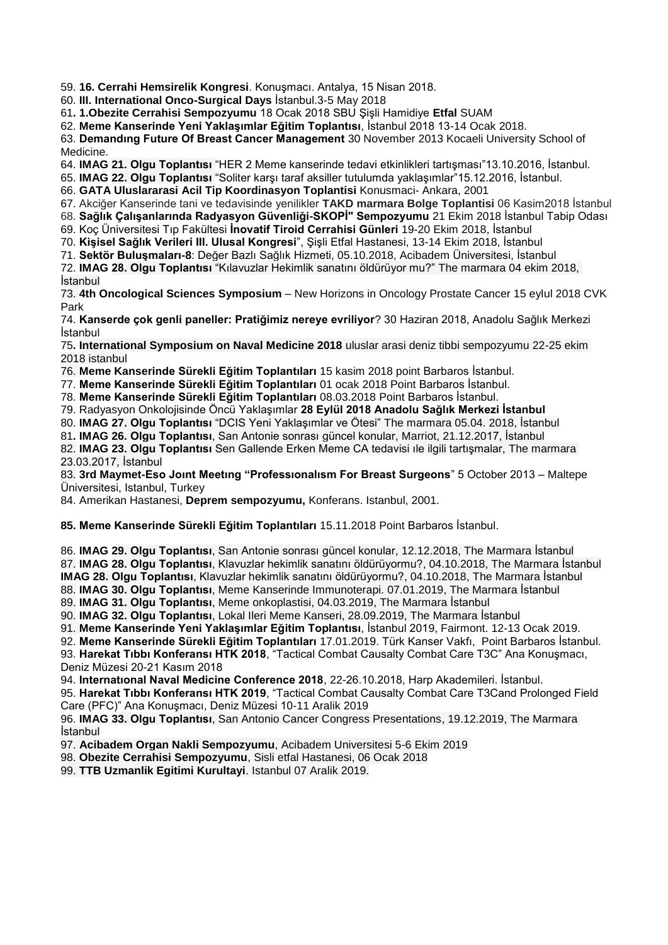59. **16. Cerrahi Hemsirelik Kongresi**. Konuşmacı. Antalya, 15 Nisan 2018.

60. **III. International Onco-Surgical Days** İstanbul.3-5 May 2018

61**. 1.Obezite Cerrahisi Sempozyumu** 18 Ocak 2018 SBU Şişli Hamidiye **Etfal** SUAM

62. **Meme Kanserinde Yeni Yaklaşımlar Eğitim Toplantısı**, İstanbul 2018 13-14 Ocak 2018.

63. **Demandıng Future Of Breast Cancer Management** 30 November 2013 Kocaeli University School of Medicine.

64. **IMAG 21. Olgu Toplantısı** "HER 2 Meme kanserinde tedavi etkinlikleri tartışması"13.10.2016, İstanbul.

65. **IMAG 22. Olgu Toplantısı** "Soliter karşı taraf aksiller tutulumda yaklaşımlar"15.12.2016, İstanbul.

66. **GATA Uluslararasi Acil Tip Koordinasyon Toplantisi** Konusmaci- Ankara, 2001

67. Akciğer Kanserinde tani ve tedavisinde yenilikler **TAKD marmara Bolge Toplantisi** 06 Kasim2018 İstanbul

68. **Sağlık Çalışanlarında Radyasyon Güvenliği-SKOPİ" Sempozyumu** 21 Ekim 2018 İstanbul Tabip Odası

69. Koç Üniversitesi Tıp Fakültesi **İnovatif Tiroid Cerrahisi Günleri** 19-20 Ekim 2018, İstanbul

70. **Kişisel Sağlık Verileri III. Ulusal Kongresi**", Şişli Etfal Hastanesi, 13-14 Ekim 2018, İstanbul

71. **Sektör Buluşmaları-8**: Değer Bazlı Sağlık Hizmeti, 05.10.2018, Acibadem Üniversitesi, İstanbul

72. **IMAG 28. Olgu Toplantısı** "Kılavuzlar Hekimlik sanatını öldürüyor mu?" The marmara 04 ekim 2018, İstanbul

73. **4th Oncological Sciences Symposium** – New Horizons in Oncology Prostate Cancer 15 eylul 2018 CVK Park

74. **Kanserde çok genli paneller: Pratiğimiz nereye evriliyor**? 30 Haziran 2018, Anadolu Sağlık Merkezi İstanbul

75**. International Symposium on Naval Medicine 2018** uluslar arasi deniz tibbi sempozyumu 22-25 ekim 2018 istanbul

76. **Meme Kanserinde Sürekli Eğitim Toplantıları** 15 kasim 2018 point Barbaros İstanbul.

77. **Meme Kanserinde Sürekli Eğitim Toplantıları** 01 ocak 2018 Point Barbaros İstanbul.

78. **Meme Kanserinde Sürekli Eğitim Toplantıları** 08.03.2018 Point Barbaros İstanbul.

79. Radyasyon Onkolojisinde Öncü Yaklaşımlar **28 Eylül 2018 Anadolu Sağlık Merkezi İstanbul**

80. **IMAG 27. Olgu Toplantısı** "DCIS Yeni Yaklaşımlar ve Ötesi" The marmara 05.04. 2018, İstanbul

81**. IMAG 26. Olgu Toplantısı**, San Antonie sonrası güncel konular, Marriot, 21.12.2017, İstanbul

82. **IMAG 23. Olgu Toplantısı** Sen Gallende Erken Meme CA tedavisi ıle ilgili tartışmalar, The marmara 23.03.2017, İstanbul

83. **3rd Maymet-Eso Joınt Meetıng "Professıonalısm For Breast Surgeons**" 5 October 2013 – Maltepe Üniversitesi, Istanbul, Turkey

84. Amerikan Hastanesi, **Deprem sempozyumu,** Konferans. Istanbul, 2001.

**85. Meme Kanserinde Sürekli Eğitim Toplantıları** 15.11.2018 Point Barbaros İstanbul.

86. **IMAG 29. Olgu Toplantısı**, San Antonie sonrası güncel konular, 12.12.2018, The Marmara İstanbul 87. **IMAG 28. Olgu Toplantısı**, Klavuzlar hekimlik sanatını öldürüyormu?, 04.10.2018, The Marmara İstanbul **IMAG 28. Olgu Toplantısı**, Klavuzlar hekimlik sanatını öldürüyormu?, 04.10.2018, The Marmara İstanbul 88. **IMAG 30. Olgu Toplantısı**, Meme Kanserinde Immunoterapi. 07.01.2019, The Marmara İstanbul

89. **IMAG 31. Olgu Toplantısı**, Meme onkoplastisi, 04.03.2019, The Marmara İstanbul

90. **IMAG 32. Olgu Toplantısı**, Lokal Ileri Meme Kanseri, 28.09.2019, The Marmara İstanbul

91. **Meme Kanserinde Yeni Yaklaşımlar Eğitim Toplantısı**, İstanbul 2019, Fairmont. 12-13 Ocak 2019.

92. **Meme Kanserinde Sürekli Eğitim Toplantıları** 17.01.2019. Türk Kanser Vakfı, Point Barbaros İstanbul.

93. **Harekat Tıbbı Konferansı HTK 2018**, "Tactical Combat Causalty Combat Care T3C" Ana Konuşmacı, Deniz Müzesi 20-21 Kasım 2018

94. **Internatıonal Naval Medicine Conference 2018**, 22-26.10.2018, Harp Akademileri. İstanbul.

95. **Harekat Tıbbı Konferansı HTK 2019**, "Tactical Combat Causalty Combat Care T3Cand Prolonged Field Care (PFC)" Ana Konuşmacı, Deniz Müzesi 10-11 Aralik 2019

96. **IMAG 33. Olgu Toplantısı**, San Antonio Cancer Congress Presentations, 19.12.2019, The Marmara İstanbul

97. **Acibadem Organ Nakli Sempozyumu**, Acibadem Universitesi 5-6 Ekim 2019

98. **Obezite Cerrahisi Sempozyumu**, Sisli etfal Hastanesi, 06 Ocak 2018

99. **TTB Uzmanlik Egitimi Kurultayi**. Istanbul 07 Aralik 2019.